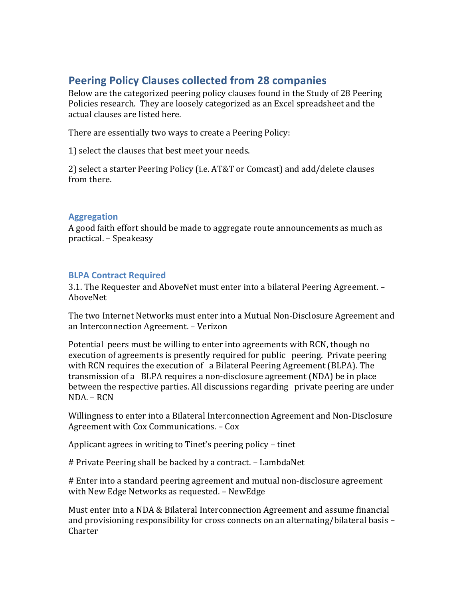# **Peering Policy Clauses collected from 28 companies**

Below are the categorized peering policy clauses found in the Study of 28 Peering Policies research. They are loosely categorized as an Excel spreadsheet and the actual clauses are listed here.

There are essentially two ways to create a Peering Policy:

1) select the clauses that best meet your needs.

2) select a starter Peering Policy (i.e. AT&T or Comcast) and add/delete clauses from there.

# **Aggregation**

A good faith effort should be made to aggregate route announcements as much as practical. – Speakeasy

# **BLPA Contract Required**

3.1. The Requester and AboveNet must enter into a bilateral Peering Agreement. – AboveNet

The two Internet Networks must enter into a Mutual Non-Disclosure Agreement and an Interconnection Agreement. – Verizon

Potential peers must be willing to enter into agreements with RCN, though no execution of agreements is presently required for public peering. Private peering with RCN requires the execution of a Bilateral Peering Agreement (BLPA). The transmission of a BLPA requires a non-disclosure agreement (NDA) be in place between the respective parties. All discussions regarding private peering are under  $NDA = RCN$ 

Willingness to enter into a Bilateral Interconnection Agreement and Non-Disclosure Agreement with Cox Communications. - Cox

Applicant agrees in writing to Tinet's peering policy – tinet

# Private Peering shall be backed by a contract. – LambdaNet

# Enter into a standard peering agreement and mutual non-disclosure agreement with New Edge Networks as requested. - NewEdge

Must enter into a NDA & Bilateral Interconnection Agreement and assume financial and provisioning responsibility for cross connects on an alternating/bilateral basis  $-$ Charter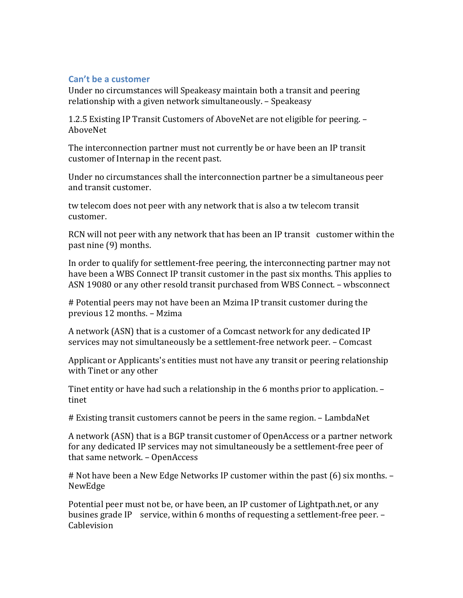### **Can't be a customer**

Under no circumstances will Speakeasy maintain both a transit and peering relationship with a given network simultaneously. – Speakeasy

1.2.5 Existing IP Transit Customers of AboveNet are not eligible for peering. – AboveNet

The interconnection partner must not currently be or have been an IP transit customer of Internap in the recent past.

Under no circumstances shall the interconnection partner be a simultaneous peer and transit customer.

tw telecom does not peer with any network that is also a tw telecom transit customer.

RCN will not peer with any network that has been an IP transit customer within the past nine (9) months.

In order to qualify for settlement-free peering, the interconnecting partner may not have been a WBS Connect IP transit customer in the past six months. This applies to ASN 19080 or any other resold transit purchased from WBS Connect. – wbsconnect

# Potential peers may not have been an Mzima IP transit customer during the previous 12 months. – Mzima

A network (ASN) that is a customer of a Comcast network for any dedicated IP services may not simultaneously be a settlement-free network peer. - Comcast

Applicant or Applicants's entities must not have any transit or peering relationship with Tinet or any other

Tinet entity or have had such a relationship in the 6 months prior to application. tinet

# Existing transit customers cannot be peers in the same region. – LambdaNet

A network (ASN) that is a BGP transit customer of OpenAccess or a partner network for any dedicated IP services may not simultaneously be a settlement-free peer of that same network. - OpenAccess

# Not have been a New Edge Networks IP customer within the past (6) six months. -NewEdge

Potential peer must not be, or have been, an IP customer of Lightpath.net, or any busines grade IP service, within 6 months of requesting a settlement-free peer.  $-$ Cablevision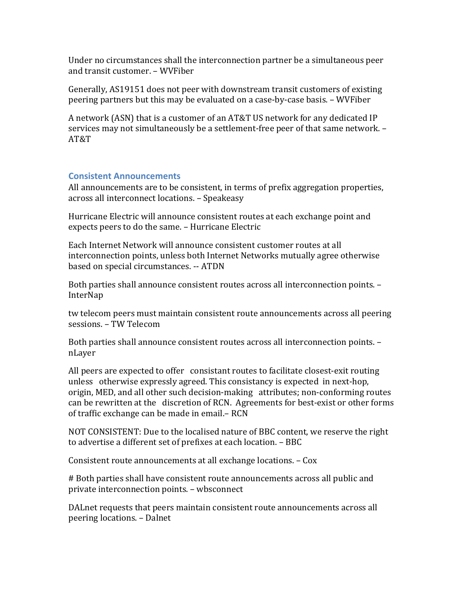Under no circumstances shall the interconnection partner be a simultaneous peer and transit customer. - WVFiber

Generally, AS19151 does not peer with downstream transit customers of existing peering partners but this may be evaluated on a case-by-case basis. – WVFiber

A network (ASN) that is a customer of an AT&T US network for any dedicated IP services may not simultaneously be a settlement-free peer of that same network. -AT&T

#### **Consistent Announcements**

All announcements are to be consistent, in terms of prefix aggregation properties, across all interconnect locations. - Speakeasy

Hurricane Electric will announce consistent routes at each exchange point and expects peers to do the same. - Hurricane Electric

Each Internet Network will announce consistent customer routes at all interconnection points, unless both Internet Networks mutually agree otherwise based on special circumstances. -- ATDN

Both parties shall announce consistent routes across all interconnection points. -InterNap

tw telecom peers must maintain consistent route announcements across all peering sessions. – TW Telecom

Both parties shall announce consistent routes across all interconnection points. nLayer

All peers are expected to offer consistant routes to facilitate closest-exit routing unless otherwise expressly agreed. This consistancy is expected in next-hop, origin, MED, and all other such decision-making attributes; non-conforming routes can be rewritten at the discretion of RCN. Agreements for best-exist or other forms of traffic exchange can be made in email. - RCN

NOT CONSISTENT: Due to the localised nature of BBC content, we reserve the right to advertise a different set of prefixes at each location. - BBC

Consistent route announcements at all exchange locations. - Cox

# Both parties shall have consistent route announcements across all public and private interconnection points. - wbsconnect

DALnet requests that peers maintain consistent route announcements across all peering locations. – Dalnet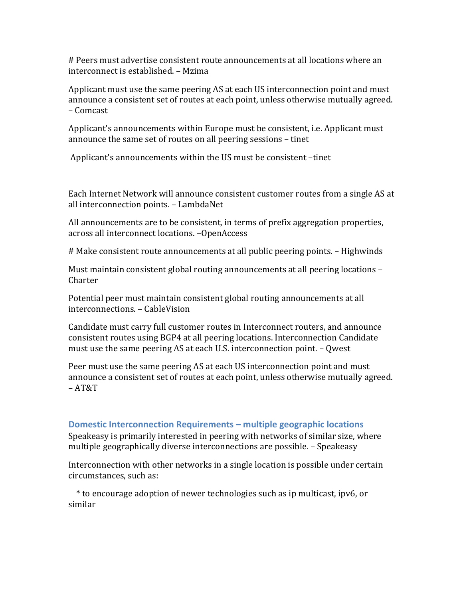# Peers must advertise consistent route announcements at all locations where an interconnect is established. - Mzima

Applicant must use the same peering AS at each US interconnection point and must announce a consistent set of routes at each point, unless otherwise mutually agreed. – Comcast

Applicant's announcements within Europe must be consistent, i.e. Applicant must announce the same set of routes on all peering sessions - tinet

Applicant's announcements within the US must be consistent –tinet

Each Internet Network will announce consistent customer routes from a single AS at all interconnection points. - LambdaNet

All announcements are to be consistent, in terms of prefix aggregation properties, across all interconnect locations. -OpenAccess

# Make consistent route announcements at all public peering points. – Highwinds

Must maintain consistent global routing announcements at all peering locations -Charter

Potential peer must maintain consistent global routing announcements at all interconnections. – CableVision

Candidate must carry full customer routes in Interconnect routers, and announce consistent routes using BGP4 at all peering locations. Interconnection Candidate must use the same peering AS at each U.S. interconnection point.  $-$  Qwest

Peer must use the same peering AS at each US interconnection point and must announce a consistent set of routes at each point, unless otherwise mutually agreed. – AT&T

#### **Domestic Interconnection Requirements – multiple geographic locations**

Speakeasy is primarily interested in peering with networks of similar size, where multiple geographically diverse interconnections are possible. – Speakeasy

Interconnection with other networks in a single location is possible under certain circumstances, such as:

\* to encourage adoption of newer technologies such as ip multicast, ipv6, or similar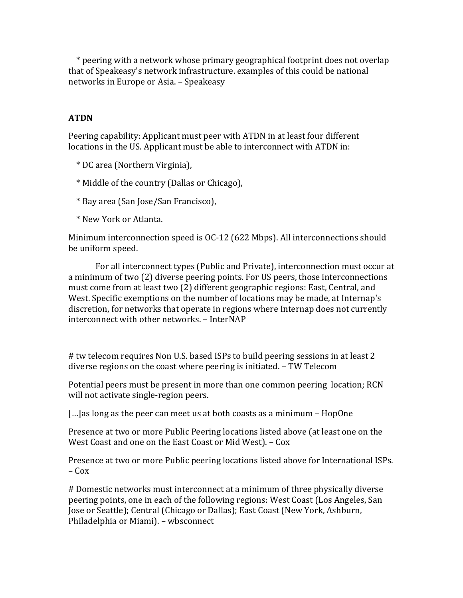\* peering with a network whose primary geographical footprint does not overlap that of Speakeasy's network infrastructure. examples of this could be national networks in Europe or Asia. - Speakeasy

# **ATDN**

Peering capability: Applicant must peer with ATDN in at least four different locations in the US. Applicant must be able to interconnect with ATDN in:

 \* DC area (Northern Virginia),

 \* Middle of the country (Dallas or Chicago),

- \* Bay area (San Jose/San Francisco),
- \* New York or Atlanta.

Minimum interconnection speed is  $OC-12$  (622 Mbps). All interconnections should be uniform speed.

For all interconnect types (Public and Private), interconnection must occur at a minimum of two (2) diverse peering points. For US peers, those interconnections must come from at least two (2) different geographic regions: East, Central, and West. Specific exemptions on the number of locations may be made, at Internap's discretion, for networks that operate in regions where Internap does not currently interconnect with other networks. - InterNAP

# tw telecom requires Non U.S. based ISPs to build peering sessions in at least 2 diverse regions on the coast where peering is initiated. – TW Telecom

Potential peers must be present in more than one common peering location; RCN will not activate single-region peers.

 $\lceil$ ...] as long as the peer can meet us at both coasts as a minimum – HopOne

Presence at two or more Public Peering locations listed above (at least one on the West Coast and one on the East Coast or Mid West). - Cox

Presence at two or more Public peering locations listed above for International ISPs.  $-Cox$ 

# Domestic networks must interconnect at a minimum of three physically diverse peering points, one in each of the following regions: West Coast (Los Angeles, San Jose or Seattle); Central (Chicago or Dallas); East Coast (New York, Ashburn, Philadelphia or Miami). - wbsconnect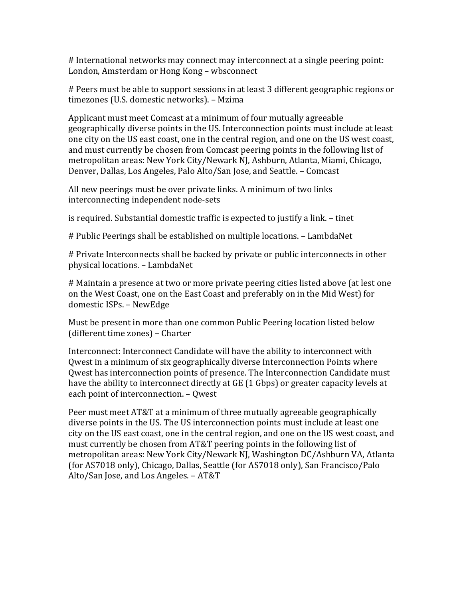# International networks may connect may interconnect at a single peering point: London, Amsterdam or Hong Kong – wbsconnect

# Peers must be able to support sessions in at least 3 different geographic regions or timezones (U.S. domestic networks). - Mzima

Applicant must meet Comcast at a minimum of four mutually agreeable geographically diverse points in the US. Interconnection points must include at least one city on the US east coast, one in the central region, and one on the US west coast, and must currently be chosen from Comcast peering points in the following list of metropolitan areas: New York City/Newark NJ, Ashburn, Atlanta, Miami, Chicago, Denver, Dallas, Los Angeles, Palo Alto/San Jose, and Seattle. – Comcast

All new peerings must be over private links. A minimum of two links interconnecting independent node-sets

is required. Substantial domestic traffic is expected to justify a link. – tinet

# Public Peerings shall be established on multiple locations. - LambdaNet

# Private Interconnects shall be backed by private or public interconnects in other physical locations. – LambdaNet

# Maintain a presence at two or more private peering cities listed above (at lest one on the West Coast, one on the East Coast and preferably on in the Mid West) for domestic ISPs. - NewEdge

Must be present in more than one common Public Peering location listed below (different time zones) – Charter

Interconnect: Interconnect Candidate will have the ability to interconnect with Owest in a minimum of six geographically diverse Interconnection Points where Qwest has interconnection points of presence. The Interconnection Candidate must have the ability to interconnect directly at GE (1 Gbps) or greater capacity levels at each point of interconnection. – Qwest

Peer must meet AT&T at a minimum of three mutually agreeable geographically diverse points in the US. The US interconnection points must include at least one city on the US east coast, one in the central region, and one on the US west coast, and must currently be chosen from AT&T peering points in the following list of metropolitan areas: New York City/Newark NJ, Washington DC/Ashburn VA, Atlanta (for AS7018 only), Chicago, Dallas, Seattle (for AS7018 only), San Francisco/Palo Alto/San Jose, and Los Angeles. - AT&T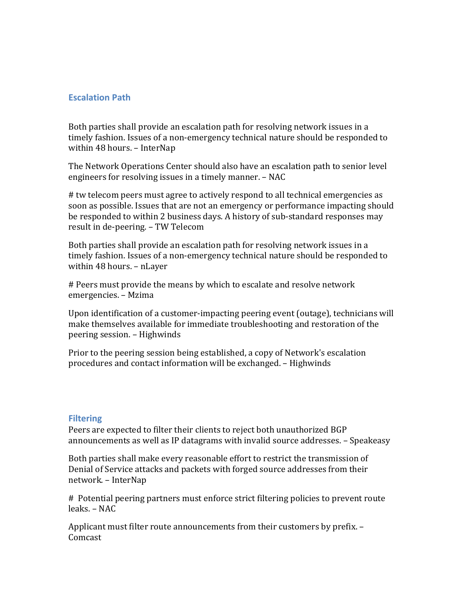### **Escalation Path**

Both parties shall provide an escalation path for resolving network issues in a timely fashion. Issues of a non-emergency technical nature should be responded to within 48 hours. – InterNap

The Network Operations Center should also have an escalation path to senior level engineers for resolving issues in a timely manner. – NAC

# tw telecom peers must agree to actively respond to all technical emergencies as soon as possible. Issues that are not an emergency or performance impacting should be responded to within 2 business days. A history of sub-standard responses may result in de-peering. – TW Telecom

Both parties shall provide an escalation path for resolving network issues in a timely fashion. Issues of a non-emergency technical nature should be responded to within 48 hours. - nLayer

# Peers must provide the means by which to escalate and resolve network emergencies. – Mzima

Upon identification of a customer-impacting peering event (outage), technicians will make themselves available for immediate troubleshooting and restoration of the peering session. – Highwinds

Prior to the peering session being established, a copy of Network's escalation procedures and contact information will be exchanged. – Highwinds

#### **Filtering**

Peers are expected to filter their clients to reject both unauthorized BGP announcements as well as IP datagrams with invalid source addresses. – Speakeasy

Both parties shall make every reasonable effort to restrict the transmission of Denial of Service attacks and packets with forged source addresses from their network. – InterNap

# Potential peering partners must enforce strict filtering policies to prevent route leaks. – NAC

Applicant must filter route announcements from their customers by prefix. -Comcast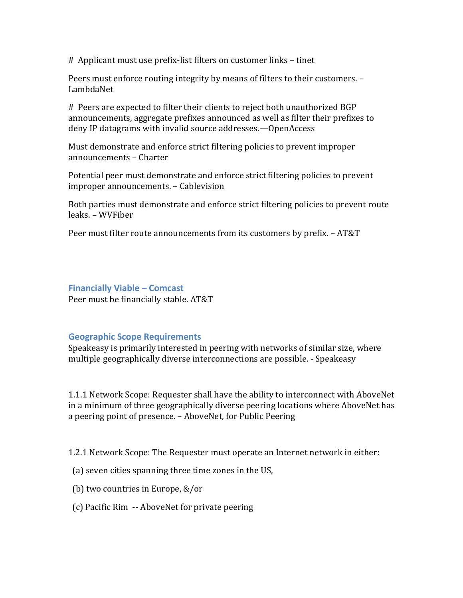# Applicant must use prefix-list filters on customer links – tinet

Peers must enforce routing integrity by means of filters to their customers. -LambdaNet

# Peers are expected to filter their clients to reject both unauthorized BGP announcements, aggregate prefixes announced as well as filter their prefixes to deny IP datagrams with invalid source addresses.—OpenAccess

Must demonstrate and enforce strict filtering policies to prevent improper announcements – Charter

Potential peer must demonstrate and enforce strict filtering policies to prevent improper announcements. - Cablevision

Both parties must demonstrate and enforce strict filtering policies to prevent route leaks. – WVFiber

Peer must filter route announcements from its customers by prefix. – AT&T

### **Financially Viable – Comcast**

Peer must be financially stable. AT&T

# **Geographic Scope Requirements**

Speakeasy is primarily interested in peering with networks of similar size, where multiple geographically diverse interconnections are possible. - Speakeasy

1.1.1 Network Scope: Requester shall have the ability to interconnect with AboveNet in a minimum of three geographically diverse peering locations where AboveNet has a peering point of presence. – AboveNet, for Public Peering

1.2.1 Network Scope: The Requester must operate an Internet network in either:

(a) seven cities spanning three time zones in the US,

- (b) two countries in Europe,  $&/$ or
- (c) Pacific Rim -- AboveNet for private peering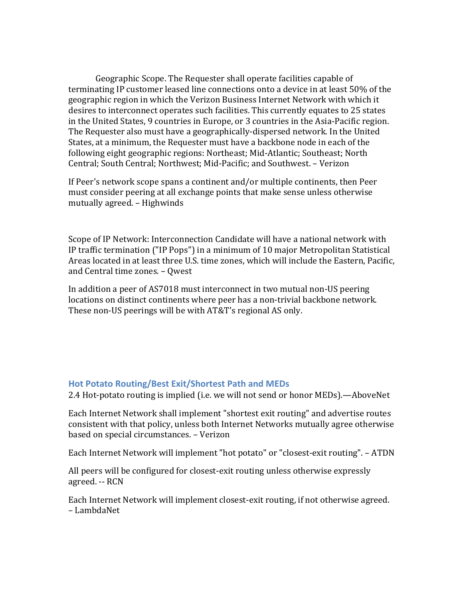Geographic Scope. The Requester shall operate facilities capable of terminating IP customer leased line connections onto a device in at least 50% of the geographic region in which the Verizon Business Internet Network with which it desires to interconnect operates such facilities. This currently equates to 25 states in the United States, 9 countries in Europe, or 3 countries in the Asia-Pacific region. The Requester also must have a geographically-dispersed network. In the United States, at a minimum, the Requester must have a backbone node in each of the following eight geographic regions: Northeast; Mid-Atlantic; Southeast; North Central; South Central; Northwest; Mid-Pacific; and Southwest. - Verizon

If Peer's network scope spans a continent and/or multiple continents, then Peer must consider peering at all exchange points that make sense unless otherwise mutually agreed. – Highwinds

Scope of IP Network: Interconnection Candidate will have a national network with IP traffic termination ("IP Pops") in a minimum of 10 major Metropolitan Statistical Areas located in at least three U.S. time zones, which will include the Eastern, Pacific, and Central time zones. - Qwest

In addition a peer of AS7018 must interconnect in two mutual non-US peering locations on distinct continents where peer has a non-trivial backbone network. These non-US peerings will be with AT&T's regional AS only.

#### **Hot Potato Routing/Best Exit/Shortest Path and MEDs**

2.4 Hot-potato routing is implied (i.e. we will not send or honor MEDs).—AboveNet

Each Internet Network shall implement "shortest exit routing" and advertise routes consistent with that policy, unless both Internet Networks mutually agree otherwise based on special circumstances. - Verizon

Each Internet Network will implement "hot potato" or "closest-exit routing". - ATDN

All peers will be configured for closest-exit routing unless otherwise expressly agreed. -- RCN

Each Internet Network will implement closest-exit routing, if not otherwise agreed. – LambdaNet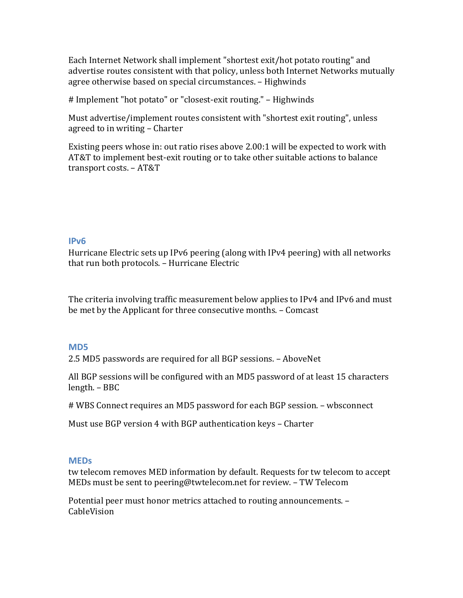Each Internet Network shall implement "shortest exit/hot potato routing" and advertise routes consistent with that policy, unless both Internet Networks mutually agree otherwise based on special circumstances. - Highwinds

# Implement "hot potato" or "closest-exit routing." – Highwinds

Must advertise/implement routes consistent with "shortest exit routing", unless agreed to in writing – Charter

Existing peers whose in: out ratio rises above  $2.00:1$  will be expected to work with AT&T to implement best-exit routing or to take other suitable actions to balance transport costs. – AT&T

### **IPv6**

Hurricane Electric sets up IPv6 peering (along with IPv4 peering) with all networks that run both protocols. - Hurricane Electric

The criteria involving traffic measurement below applies to IPv4 and IPv6 and must be met by the Applicant for three consecutive months. – Comcast

# **MD5**

2.5 MD5 passwords are required for all BGP sessions. – AboveNet

All BGP sessions will be configured with an MD5 password of at least 15 characters length. – BBC

# WBS Connect requires an MD5 password for each BGP session. – wbsconnect

Must use BGP version 4 with BGP authentication keys - Charter

#### **MEDs**

tw telecom removes MED information by default. Requests for tw telecom to accept MEDs must be sent to peering@twtelecom.net for review. – TW Telecom

Potential peer must honor metrics attached to routing announcements. -CableVision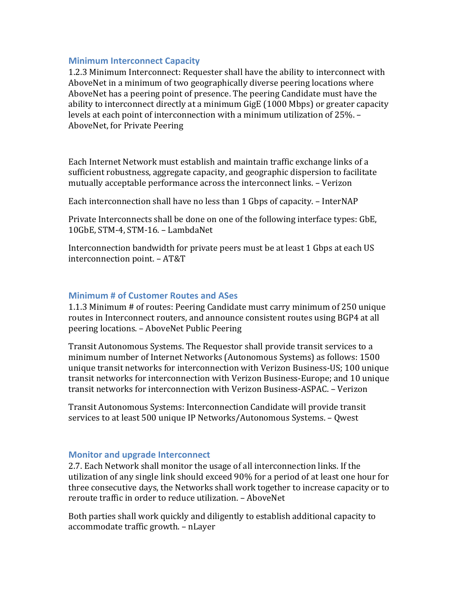#### **Minimum Interconnect Capacity**

1.2.3 Minimum Interconnect: Requester shall have the ability to interconnect with AboveNet in a minimum of two geographically diverse peering locations where AboveNet has a peering point of presence. The peering Candidate must have the ability to interconnect directly at a minimum GigE (1000 Mbps) or greater capacity levels at each point of interconnection with a minimum utilization of 25%. -AboveNet, for Private Peering

Each Internet Network must establish and maintain traffic exchange links of a sufficient robustness, aggregate capacity, and geographic dispersion to facilitate mutually acceptable performance across the interconnect links. - Verizon

Each interconnection shall have no less than 1 Gbps of capacity. – InterNAP

Private Interconnects shall be done on one of the following interface types: GbE, 10GbE, STM-4, STM-16. - LambdaNet

Interconnection bandwidth for private peers must be at least 1 Gbps at each US interconnection point. – AT&T

# **Minimum # of Customer Routes and ASes**

1.1.3 Minimum # of routes: Peering Candidate must carry minimum of 250 unique routes in Interconnect routers, and announce consistent routes using BGP4 at all peering locations. – AboveNet Public Peering

Transit Autonomous Systems. The Requestor shall provide transit services to a minimum number of Internet Networks (Autonomous Systems) as follows: 1500 unique transit networks for interconnection with Verizon Business-US; 100 unique transit networks for interconnection with Verizon Business-Europe; and 10 unique transit networks for interconnection with Verizon Business-ASPAC. - Verizon

Transit Autonomous Systems: Interconnection Candidate will provide transit services to at least 500 unique IP Networks/Autonomous Systems. – Owest

# **Monitor and upgrade Interconnect**

2.7. Each Network shall monitor the usage of all interconnection links. If the utilization of any single link should exceed 90% for a period of at least one hour for three consecutive days, the Networks shall work together to increase capacity or to reroute traffic in order to reduce utilization. - AboveNet

Both parties shall work quickly and diligently to establish additional capacity to accommodate traffic growth. - nLayer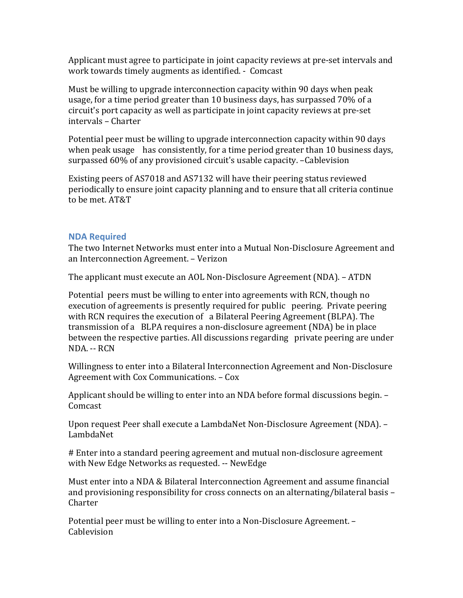Applicant must agree to participate in joint capacity reviews at pre-set intervals and work towards timely augments as identified. - Comcast

Must be willing to upgrade interconnection capacity within 90 days when peak usage, for a time period greater than 10 business days, has surpassed 70% of a circuit's port capacity as well as participate in joint capacity reviews at pre-set intervals – Charter

Potential peer must be willing to upgrade interconnection capacity within 90 days when peak usage has consistently, for a time period greater than 10 business days, surpassed 60% of any provisioned circuit's usable capacity. -Cablevision

Existing peers of AS7018 and AS7132 will have their peering status reviewed periodically to ensure joint capacity planning and to ensure that all criteria continue to be met. AT&T

### **NDA Required**

The two Internet Networks must enter into a Mutual Non-Disclosure Agreement and an Interconnection Agreement. – Verizon

The applicant must execute an AOL Non-Disclosure Agreement (NDA). – ATDN

Potential peers must be willing to enter into agreements with RCN, though no execution of agreements is presently required for public peering. Private peering with RCN requires the execution of a Bilateral Peering Agreement (BLPA). The transmission of a BLPA requires a non-disclosure agreement (NDA) be in place between the respective parties. All discussions regarding private peering are under NDA. -- RCN

Willingness to enter into a Bilateral Interconnection Agreement and Non-Disclosure Agreement with Cox Communications. – Cox

Applicant should be willing to enter into an NDA before formal discussions begin. – Comcast

Upon request Peer shall execute a LambdaNet Non-Disclosure Agreement (NDA). -LambdaNet

# Enter into a standard peering agreement and mutual non-disclosure agreement with New Edge Networks as requested. -- NewEdge

Must enter into a NDA & Bilateral Interconnection Agreement and assume financial and provisioning responsibility for cross connects on an alternating/bilateral basis  $-$ Charter

Potential peer must be willing to enter into a Non-Disclosure Agreement. – **Cablevision**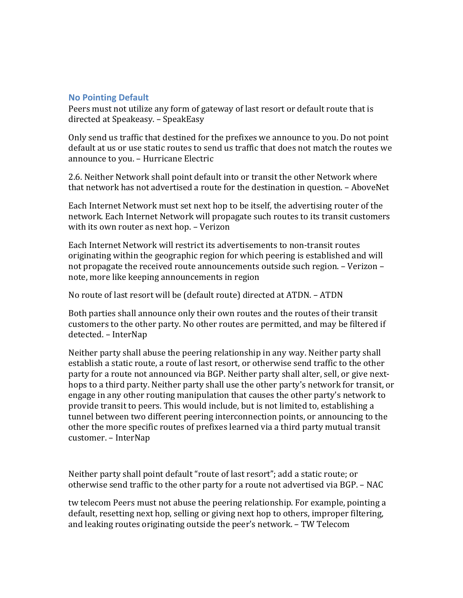### **No Pointing Default**

Peers must not utilize any form of gateway of last resort or default route that is directed at Speakeasy. – SpeakEasy

Only send us traffic that destined for the prefixes we announce to you. Do not point default at us or use static routes to send us traffic that does not match the routes we announce to you. – Hurricane Electric

2.6. Neither Network shall point default into or transit the other Network where that network has not advertised a route for the destination in question. - AboveNet

Each Internet Network must set next hop to be itself, the advertising router of the network. Each Internet Network will propagate such routes to its transit customers with its own router as next hop. - Verizon

Each Internet Network will restrict its advertisements to non-transit routes originating within the geographic region for which peering is established and will not propagate the received route announcements outside such region.  $-$  Verizon – note, more like keeping announcements in region

No route of last resort will be (default route) directed at ATDN. - ATDN

Both parties shall announce only their own routes and the routes of their transit customers to the other party. No other routes are permitted, and may be filtered if detected. – InterNap

Neither party shall abuse the peering relationship in any way. Neither party shall establish a static route, a route of last resort, or otherwise send traffic to the other party for a route not announced via BGP. Neither party shall alter, sell, or give nexthops to a third party. Neither party shall use the other party's network for transit, or engage in any other routing manipulation that causes the other party's network to provide transit to peers. This would include, but is not limited to, establishing a tunnel between two different peering interconnection points, or announcing to the other the more specific routes of prefixes learned via a third party mutual transit customer. – InterNap

Neither party shall point default "route of last resort"; add a static route; or otherwise send traffic to the other party for a route not advertised via BGP. - NAC

tw telecom Peers must not abuse the peering relationship. For example, pointing a default, resetting next hop, selling or giving next hop to others, improper filtering, and leaking routes originating outside the peer's network. – TW Telecom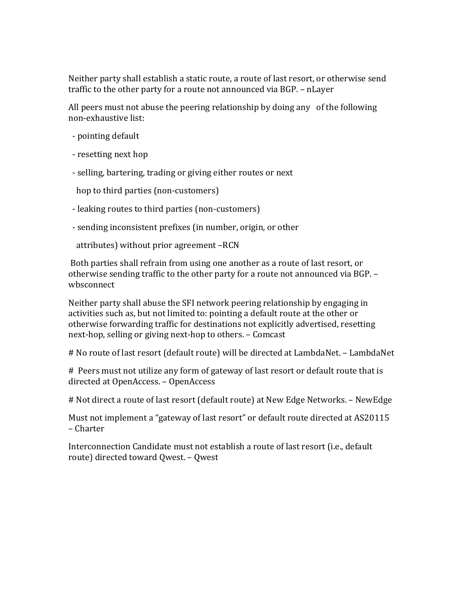Neither party shall establish a static route, a route of last resort, or otherwise send traffic to the other party for a route not announced via BGP. - nLayer

All peers must not abuse the peering relationship by doing any of the following non-exhaustive list:

- pointing default
- resetting next hop
- selling, bartering, trading or giving either routes or next

hop to third parties (non-customers)

- leaking routes to third parties (non-customers)
- sending inconsistent prefixes (in number, origin, or other

attributes) without prior agreement -RCN

Both parties shall refrain from using one another as a route of last resort, or otherwise sending traffic to the other party for a route not announced via BGP. wbsconnect

Neither party shall abuse the SFI network peering relationship by engaging in activities such as, but not limited to: pointing a default route at the other or otherwise forwarding traffic for destinations not explicitly advertised, resetting next-hop, selling or giving next-hop to others. – Comcast

# No route of last resort (default route) will be directed at LambdaNet. - LambdaNet

# Peers must not utilize any form of gateway of last resort or default route that is directed at OpenAccess. - OpenAccess

# Not direct a route of last resort (default route) at New Edge Networks. - NewEdge

Must not implement a "gateway of last resort" or default route directed at AS20115 – Charter

Interconnection Candidate must not establish a route of last resort (i.e., default route) directed toward Qwest. - Qwest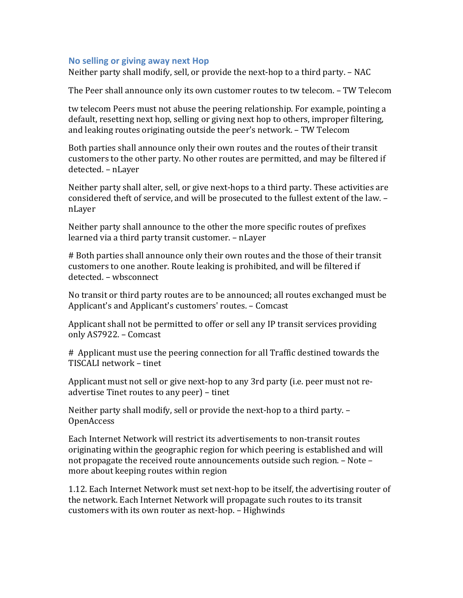### **No selling or giving away next Hop**

Neither party shall modify, sell, or provide the next-hop to a third party.  $-$  NAC

The Peer shall announce only its own customer routes to tw telecom. - TW Telecom

tw telecom Peers must not abuse the peering relationship. For example, pointing a default, resetting next hop, selling or giving next hop to others, improper filtering, and leaking routes originating outside the peer's network. – TW Telecom

Both parties shall announce only their own routes and the routes of their transit customers to the other party. No other routes are permitted, and may be filtered if detected. – nLayer

Neither party shall alter, sell, or give next-hops to a third party. These activities are considered theft of service, and will be prosecuted to the fullest extent of the law. nLayer

Neither party shall announce to the other the more specific routes of prefixes learned via a third party transit customer. - nLayer

# Both parties shall announce only their own routes and the those of their transit customers to one another. Route leaking is prohibited, and will be filtered if detected. – wbsconnect

No transit or third party routes are to be announced; all routes exchanged must be Applicant's and Applicant's customers' routes. – Comcast

Applicant shall not be permitted to offer or sell any IP transit services providing only AS7922. – Comcast

# Applicant must use the peering connection for all Traffic destined towards the TISCALI network – tinet

Applicant must not sell or give next-hop to any 3rd party (i.e. peer must not readvertise Tinet routes to any peer) – tinet

Neither party shall modify, sell or provide the next-hop to a third party. -OpenAccess

Each Internet Network will restrict its advertisements to non-transit routes originating within the geographic region for which peering is established and will not propagate the received route announcements outside such region.  $-$  Note  $$ more about keeping routes within region

1.12. Each Internet Network must set next-hop to be itself, the advertising router of the network. Each Internet Network will propagate such routes to its transit customers with its own router as next-hop. - Highwinds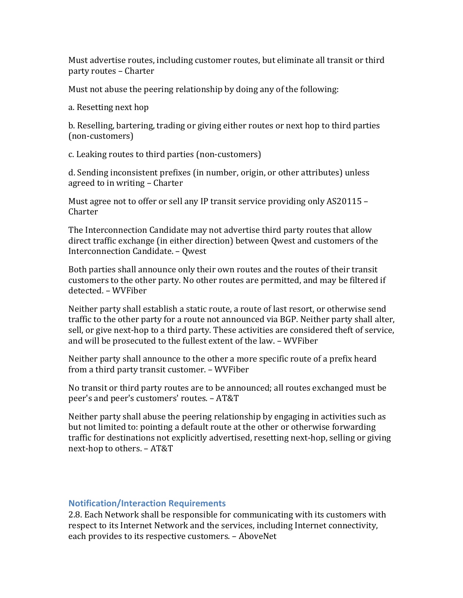Must advertise routes, including customer routes, but eliminate all transit or third party routes – Charter

Must not abuse the peering relationship by doing any of the following:

a. Resetting next hop

b. Reselling, bartering, trading or giving either routes or next hop to third parties (non-customers)

c. Leaking routes to third parties (non-customers)

d. Sending inconsistent prefixes (in number, origin, or other attributes) unless agreed to in writing – Charter

Must agree not to offer or sell any IP transit service providing only  $AS20115 -$ Charter

The Interconnection Candidate may not advertise third party routes that allow direct traffic exchange (in either direction) between Owest and customers of the Interconnection Candidate. – Qwest

Both parties shall announce only their own routes and the routes of their transit customers to the other party. No other routes are permitted, and may be filtered if detected. – WVFiber

Neither party shall establish a static route, a route of last resort, or otherwise send traffic to the other party for a route not announced via BGP. Neither party shall alter, sell, or give next-hop to a third party. These activities are considered theft of service, and will be prosecuted to the fullest extent of the law. - WVFiber

Neither party shall announce to the other a more specific route of a prefix heard from a third party transit customer. - WVFiber

No transit or third party routes are to be announced; all routes exchanged must be peer's and peer's customers' routes. - AT&T

Neither party shall abuse the peering relationship by engaging in activities such as but not limited to: pointing a default route at the other or otherwise forwarding traffic for destinations not explicitly advertised, resetting next-hop, selling or giving next-hop to others. - AT&T

# **Notification/Interaction Requirements**

2.8. Each Network shall be responsible for communicating with its customers with respect to its Internet Network and the services, including Internet connectivity, each provides to its respective customers. - AboveNet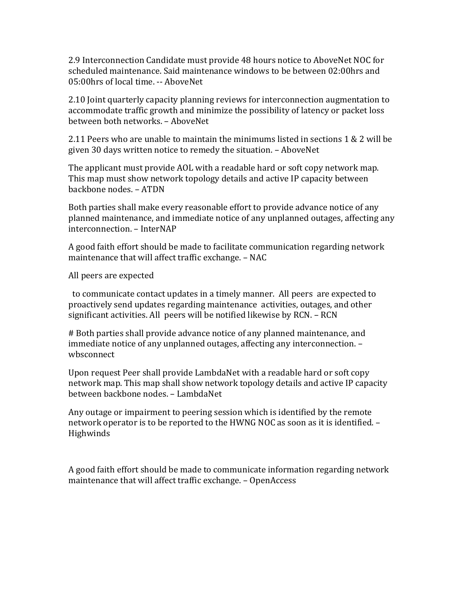2.9 Interconnection Candidate must provide 48 hours notice to AboveNet NOC for scheduled maintenance. Said maintenance windows to be between 02:00hrs and 05:00hrs of local time. -- AboveNet

2.10 Joint quarterly capacity planning reviews for interconnection augmentation to accommodate traffic growth and minimize the possibility of latency or packet loss between both networks. - AboveNet

2.11 Peers who are unable to maintain the minimums listed in sections  $1 \& 2$  will be given 30 days written notice to remedy the situation. - AboveNet

The applicant must provide AOL with a readable hard or soft copy network map. This map must show network topology details and active IP capacity between backbone nodes. – ATDN

Both parties shall make every reasonable effort to provide advance notice of any planned maintenance, and immediate notice of any unplanned outages, affecting any interconnection. – InterNAP

A good faith effort should be made to facilitate communication regarding network maintenance that will affect traffic exchange. - NAC

All peers are expected

to communicate contact updates in a timely manner. All peers are expected to proactively send updates regarding maintenance activities, outages, and other significant activities. All peers will be notified likewise by RCN. - RCN

# Both parties shall provide advance notice of any planned maintenance, and immediate notice of any unplanned outages, affecting any interconnection. wbsconnect

Upon request Peer shall provide LambdaNet with a readable hard or soft copy network map. This map shall show network topology details and active IP capacity between backbone nodes. – LambdaNet

Any outage or impairment to peering session which is identified by the remote network operator is to be reported to the HWNG NOC as soon as it is identified. -Highwinds

A good faith effort should be made to communicate information regarding network maintenance that will affect traffic exchange. - OpenAccess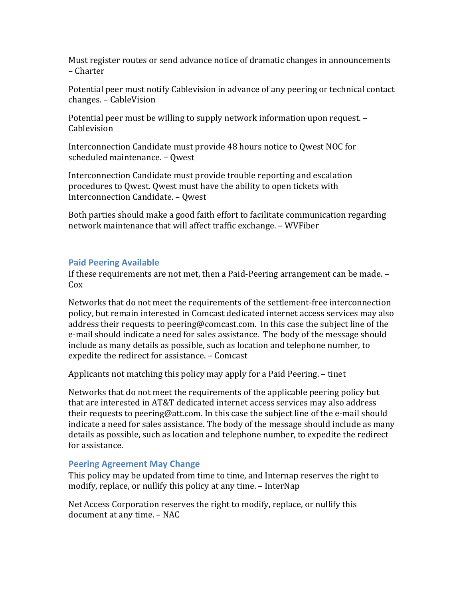Must register routes or send advance notice of dramatic changes in announcements – Charter

Potential peer must notify Cablevision in advance of any peering or technical contact changes. – CableVision

Potential peer must be willing to supply network information upon request. – **Cablevision** 

Interconnection Candidate must provide 48 hours notice to Owest NOC for scheduled maintenance. - Qwest

Interconnection Candidate must provide trouble reporting and escalation procedures to Qwest. Qwest must have the ability to open tickets with Interconnection Candidate. – Qwest

Both parties should make a good faith effort to facilitate communication regarding network maintenance that will affect traffic exchange. - WVFiber

### **Paid Peering Available**

If these requirements are not met, then a Paid-Peering arrangement can be made. -Cox

Networks that do not meet the requirements of the settlement-free interconnection policy, but remain interested in Comcast dedicated internet access services may also address their requests to peering@comcast.com. In this case the subject line of the e-mail should indicate a need for sales assistance. The body of the message should include as many details as possible, such as location and telephone number, to expedite the redirect for assistance. - Comcast

Applicants not matching this policy may apply for a Paid Peering. – tinet

Networks that do not meet the requirements of the applicable peering policy but that are interested in AT&T dedicated internet access services may also address their requests to peering@att.com. In this case the subject line of the e-mail should indicate a need for sales assistance. The body of the message should include as many details as possible, such as location and telephone number, to expedite the redirect for assistance.

# **Peering Agreement May Change**

This policy may be updated from time to time, and Internap reserves the right to modify, replace, or nullify this policy at any time. – InterNap

Net Access Corporation reserves the right to modify, replace, or nullify this document at any time. - NAC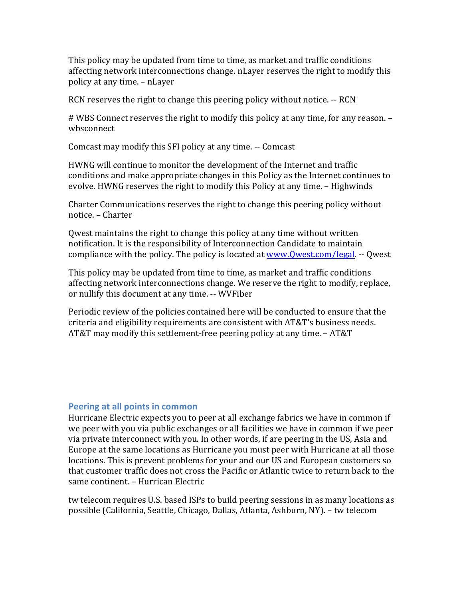This policy may be updated from time to time, as market and traffic conditions affecting network interconnections change. nLayer reserves the right to modify this policy at any time. – nLayer

RCN reserves the right to change this peering policy without notice. -- RCN

# WBS Connect reserves the right to modify this policy at any time, for any reason. – wbsconnect

Comcast may modify this SFI policy at any time. -- Comcast

HWNG will continue to monitor the development of the Internet and traffic conditions and make appropriate changes in this Policy as the Internet continues to evolve. HWNG reserves the right to modify this Policy at any time. - Highwinds

Charter Communications reserves the right to change this peering policy without notice. – Charter

Qwest maintains the right to change this policy at any time without written notification. It is the responsibility of Interconnection Candidate to maintain compliance with the policy. The policy is located at www.Qwest.com/legal. -- Qwest

This policy may be updated from time to time, as market and traffic conditions affecting network interconnections change. We reserve the right to modify, replace, or nullify this document at any time. -- WVFiber

Periodic review of the policies contained here will be conducted to ensure that the criteria and eligibility requirements are consistent with AT&T's business needs. AT&T may modify this settlement-free peering policy at any time.  $-$  AT&T

#### **Peering at all points in common**

Hurricane Electric expects you to peer at all exchange fabrics we have in common if we peer with you via public exchanges or all facilities we have in common if we peer via private interconnect with you. In other words, if are peering in the US, Asia and Europe at the same locations as Hurricane you must peer with Hurricane at all those locations. This is prevent problems for your and our US and European customers so that customer traffic does not cross the Pacific or Atlantic twice to return back to the same continent. – Hurrican Electric

tw telecom requires U.S. based ISPs to build peering sessions in as many locations as possible (California, Seattle, Chicago, Dallas, Atlanta, Ashburn, NY). - tw telecom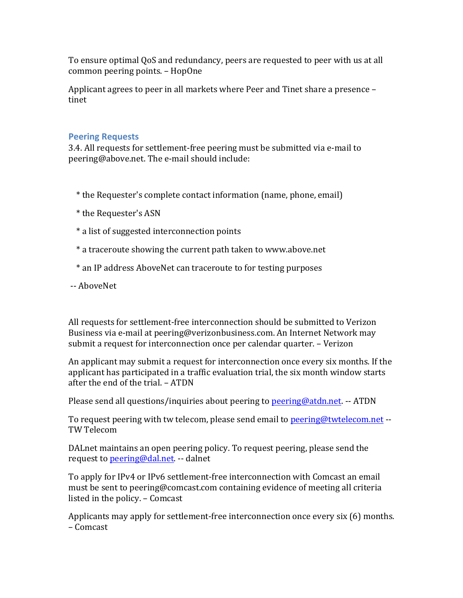To ensure optimal QoS and redundancy, peers are requested to peer with us at all common peering points. – HopOne

Applicant agrees to peer in all markets where Peer and Tinet share a presence – tinet

# **Peering Requests**

3.4. All requests for settlement-free peering must be submitted via e-mail to peering@above.net. The e-mail should include:

- \* the Requester's complete contact information (name, phone, email)
- \* the Requester's ASN
- \* a list of suggested interconnection points
- \* a traceroute showing the current path taken to www.above.net
- \* an IP address AboveNet can traceroute to for testing purposes
- -- AboveNet

All requests for settlement-free interconnection should be submitted to Verizon Business via e-mail at peering@verizonbusiness.com. An Internet Network may submit a request for interconnection once per calendar quarter. – Verizon

An applicant may submit a request for interconnection once every six months. If the applicant has participated in a traffic evaluation trial, the six month window starts after the end of the trial. - ATDN

Please send all questions/inquiries about peering to peering@atdn.net. -- ATDN

To request peering with tw telecom, please send email to peering@twtelecom.net --TW Telecom

DALnet maintains an open peering policy. To request peering, please send the request to **peering@dal.net**. -- dalnet

To apply for IPv4 or IPv6 settlement-free interconnection with Comcast an email must be sent to peering@comcast.com containing evidence of meeting all criteria listed in the policy.  $-$  Comcast

Applicants may apply for settlement-free interconnection once every  $\sin(6)$  months. – Comcast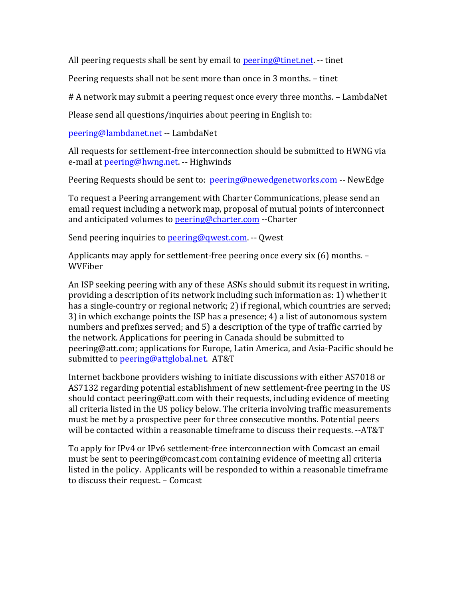All peering requests shall be sent by email to peering@tinet.net.  $-$  tinet

Peering requests shall not be sent more than once in 3 months. - tinet

# A network may submit a peering request once every three months. - LambdaNet

Please send all questions/inquiries about peering in English to:

peering@lambdanet.net -- LambdaNet

All requests for settlement-free interconnection should be submitted to HWNG via e-mail at **peering@hwng.net.** -- Highwinds

Peering Requests should be sent to: peering@newedgenetworks.com -- NewEdge

To request a Peering arrangement with Charter Communications, please send an email request including a network map, proposal of mutual points of interconnect and anticipated volumes to peering@charter.com --Charter

Send peering inquiries to peering@qwest.com. -- Qwest

Applicants may apply for settlement-free peering once every six  $(6)$  months. – WVFiber

An ISP seeking peering with any of these ASNs should submit its request in writing, providing a description of its network including such information as: 1) whether it has a single-country or regional network; 2) if regional, which countries are served; 3) in which exchange points the ISP has a presence; 4) a list of autonomous system numbers and prefixes served; and 5) a description of the type of traffic carried by the network. Applications for peering in Canada should be submitted to peering@att.com; applications for Europe, Latin America, and Asia-Pacific should be submitted to peering@attglobal.net. AT&T

Internet backbone providers wishing to initiate discussions with either AS7018 or AS7132 regarding potential establishment of new settlement-free peering in the US should contact peering@att.com with their requests, including evidence of meeting all criteria listed in the US policy below. The criteria involving traffic measurements must be met by a prospective peer for three consecutive months. Potential peers will be contacted within a reasonable timeframe to discuss their requests. --AT&T

To apply for IPv4 or IPv6 settlement-free interconnection with Comcast an email must be sent to peering@comcast.com containing evidence of meeting all criteria listed in the policy. Applicants will be responded to within a reasonable timeframe to discuss their request. - Comcast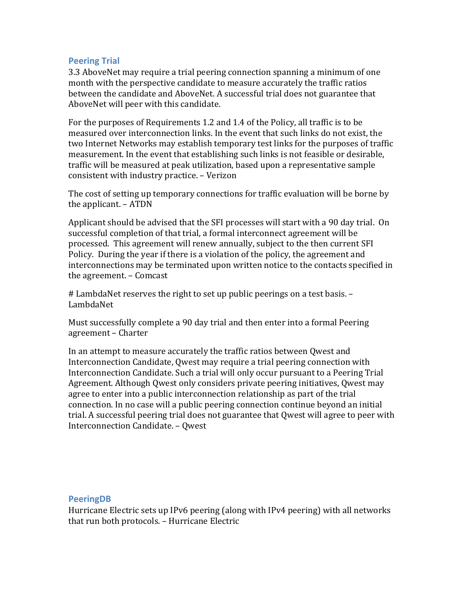### **Peering Trial**

3.3 AboveNet may require a trial peering connection spanning a minimum of one month with the perspective candidate to measure accurately the traffic ratios between the candidate and AboveNet. A successful trial does not guarantee that AboveNet will peer with this candidate.

For the purposes of Requirements 1.2 and 1.4 of the Policy, all traffic is to be measured over interconnection links. In the event that such links do not exist, the two Internet Networks may establish temporary test links for the purposes of traffic measurement. In the event that establishing such links is not feasible or desirable. traffic will be measured at peak utilization, based upon a representative sample consistent with industry practice. – Verizon

The cost of setting up temporary connections for traffic evaluation will be borne by the applicant.  $-$  ATDN

Applicant should be advised that the SFI processes will start with a 90 day trial. On successful completion of that trial, a formal interconnect agreement will be processed. This agreement will renew annually, subject to the then current SFI Policy. During the year if there is a violation of the policy, the agreement and interconnections may be terminated upon written notice to the contacts specified in the agreement. - Comcast

# LambdaNet reserves the right to set up public peerings on a test basis. -LambdaNet

Must successfully complete a 90 day trial and then enter into a formal Peering agreement – Charter

In an attempt to measure accurately the traffic ratios between Qwest and Interconnection Candidate, Owest may require a trial peering connection with Interconnection Candidate. Such a trial will only occur pursuant to a Peering Trial Agreement. Although Qwest only considers private peering initiatives, Qwest may agree to enter into a public interconnection relationship as part of the trial connection. In no case will a public peering connection continue beyond an initial trial. A successful peering trial does not guarantee that Qwest will agree to peer with Interconnection Candidate. - Qwest

#### **PeeringDB**

Hurricane Electric sets up IPv6 peering (along with IPv4 peering) with all networks that run both protocols. - Hurricane Electric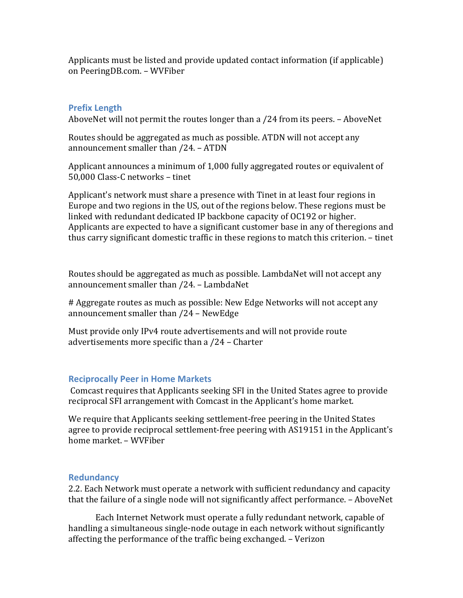Applicants must be listed and provide updated contact information (if applicable) on PeeringDB.com. – WVFiber

# **Prefix Length**

AboveNet will not permit the routes longer than a  $/24$  from its peers. – AboveNet

Routes should be aggregated as much as possible. ATDN will not accept any announcement smaller than  $/24$ . – ATDN

Applicant announces a minimum of 1,000 fully aggregated routes or equivalent of 50,000 Class-C networks - tinet

Applicant's network must share a presence with Tinet in at least four regions in Europe and two regions in the US, out of the regions below. These regions must be linked with redundant dedicated IP backbone capacity of OC192 or higher. Applicants are expected to have a significant customer base in any of theregions and thus carry significant domestic traffic in these regions to match this criterion. – tinet

Routes should be aggregated as much as possible. LambdaNet will not accept any announcement smaller than /24. - LambdaNet

# Aggregate routes as much as possible: New Edge Networks will not accept any announcement smaller than  $/24$  – NewEdge

Must provide only IPv4 route advertisements and will not provide route advertisements more specific than a /24 – Charter

# **Reciprocally Peer in Home Markets**

Comcast requires that Applicants seeking SFI in the United States agree to provide reciprocal SFI arrangement with Comcast in the Applicant's home market.

We require that Applicants seeking settlement-free peering in the United States agree to provide reciprocal settlement-free peering with AS19151 in the Applicant's home market. – WVFiber

# **Redundancy**

2.2. Each Network must operate a network with sufficient redundancy and capacity that the failure of a single node will not significantly affect performance. – AboveNet

Each Internet Network must operate a fully redundant network, capable of handling a simultaneous single-node outage in each network without significantly affecting the performance of the traffic being exchanged. – Verizon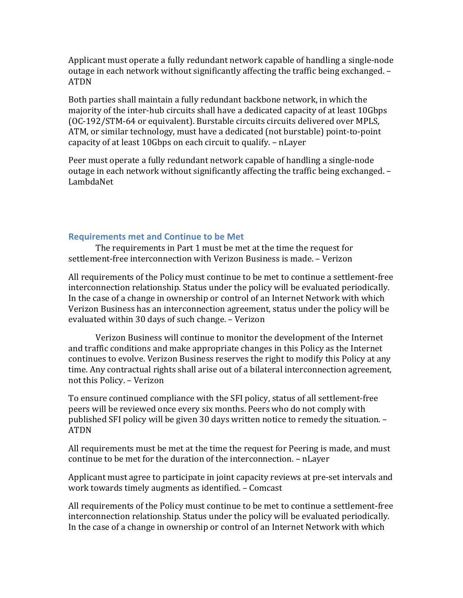Applicant must operate a fully redundant network capable of handling a single-node outage in each network without significantly affecting the traffic being exchanged. -ATDN

Both parties shall maintain a fully redundant backbone network, in which the majority of the inter-hub circuits shall have a dedicated capacity of at least 10Gbps (OC-192/STM-64 or equivalent). Burstable circuits circuits delivered over MPLS, ATM, or similar technology, must have a dedicated (not burstable) point-to-point capacity of at least 10Gbps on each circuit to qualify. – nLayer

Peer must operate a fully redundant network capable of handling a single-node outage in each network without significantly affecting the traffic being exchanged.  $-$ LambdaNet

#### **Requirements met and Continue to be Met**

The requirements in Part 1 must be met at the time the request for settlement-free interconnection with Verizon Business is made. – Verizon

All requirements of the Policy must continue to be met to continue a settlement-free interconnection relationship. Status under the policy will be evaluated periodically. In the case of a change in ownership or control of an Internet Network with which Verizon Business has an interconnection agreement, status under the policy will be evaluated within 30 days of such change. - Verizon

Verizon Business will continue to monitor the development of the Internet and traffic conditions and make appropriate changes in this Policy as the Internet continues to evolve. Verizon Business reserves the right to modify this Policy at any time. Any contractual rights shall arise out of a bilateral interconnection agreement, not this Policy. - Verizon

To ensure continued compliance with the SFI policy, status of all settlement-free peers will be reviewed once every six months. Peers who do not comply with published SFI policy will be given 30 days written notice to remedy the situation. -ATDN

All requirements must be met at the time the request for Peering is made, and must continue to be met for the duration of the interconnection. – nLayer

Applicant must agree to participate in joint capacity reviews at pre-set intervals and work towards timely augments as identified. - Comcast

All requirements of the Policy must continue to be met to continue a settlement-free interconnection relationship. Status under the policy will be evaluated periodically. In the case of a change in ownership or control of an Internet Network with which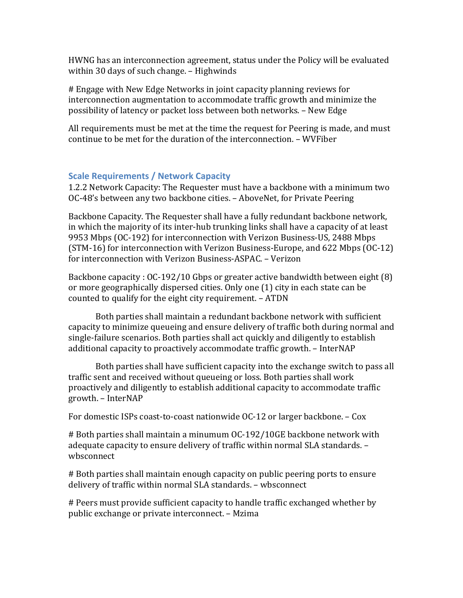HWNG has an interconnection agreement, status under the Policy will be evaluated within 30 days of such change. - Highwinds

# Engage with New Edge Networks in joint capacity planning reviews for interconnection augmentation to accommodate traffic growth and minimize the possibility of latency or packet loss between both networks. - New Edge

All requirements must be met at the time the request for Peering is made, and must continue to be met for the duration of the interconnection. – WVFiber

#### **Scale Requirements / Network Capacity**

1.2.2 Network Capacity: The Requester must have a backbone with a minimum two OC-48's between any two backbone cities. – AboveNet, for Private Peering

Backbone Capacity. The Requester shall have a fully redundant backbone network, in which the majority of its inter-hub trunking links shall have a capacity of at least 9953 Mbps (OC-192) for interconnection with Verizon Business-US, 2488 Mbps (STM-16) for interconnection with Verizon Business-Europe, and  $622$  Mbps (OC-12) for interconnection with Verizon Business-ASPAC. - Verizon

Backbone capacity :  $O(C-192/10$  Gbps or greater active bandwidth between eight  $(8)$ or more geographically dispersed cities. Only one (1) city in each state can be counted to qualify for the eight city requirement.  $-$  ATDN

Both parties shall maintain a redundant backbone network with sufficient capacity to minimize queueing and ensure delivery of traffic both during normal and single-failure scenarios. Both parties shall act quickly and diligently to establish additional capacity to proactively accommodate traffic growth. – InterNAP

Both parties shall have sufficient capacity into the exchange switch to pass all traffic sent and received without queueing or loss. Both parties shall work proactively and diligently to establish additional capacity to accommodate traffic growth. – InterNAP

For domestic ISPs coast-to-coast nationwide  $OC-12$  or larger backbone. – Cox

# Both parties shall maintain a minumum OC-192/10GE backbone network with adequate capacity to ensure delivery of traffic within normal SLA standards. wbsconnect

# Both parties shall maintain enough capacity on public peering ports to ensure delivery of traffic within normal SLA standards. - wbsconnect

# Peers must provide sufficient capacity to handle traffic exchanged whether by public exchange or private interconnect. – Mzima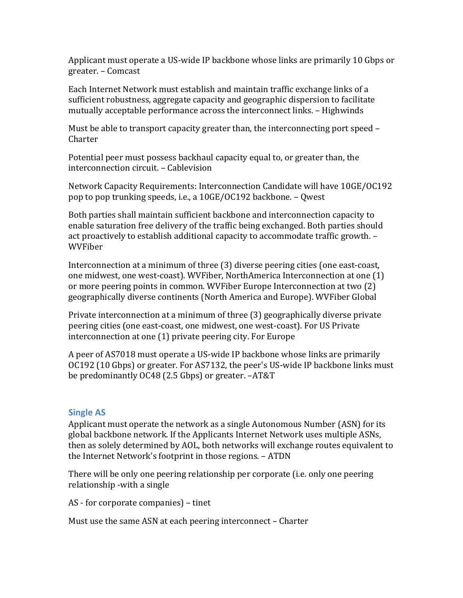Applicant must operate a US-wide IP backbone whose links are primarily 10 Gbps or greater. – Comcast

Each Internet Network must establish and maintain traffic exchange links of a sufficient robustness, aggregate capacity and geographic dispersion to facilitate mutually acceptable performance across the interconnect links. – Highwinds

Must be able to transport capacity greater than, the interconnecting port speed – Charter

Potential peer must possess backhaul capacity equal to, or greater than, the interconnection circuit. - Cablevision

Network Capacity Requirements: Interconnection Candidate will have 10GE/OC192 pop to pop trunking speeds, i.e., a 10GE/OC192 backbone. – Qwest

Both parties shall maintain sufficient backbone and interconnection capacity to enable saturation free delivery of the traffic being exchanged. Both parties should act proactively to establish additional capacity to accommodate traffic growth. -WVFiber

Interconnection at a minimum of three (3) diverse peering cities (one east-coast, one midwest, one west-coast). WVFiber, NorthAmerica Interconnection at one (1) or more peering points in common. WVFiber Europe Interconnection at two (2) geographically diverse continents (North America and Europe). WVFiber Global

Private interconnection at a minimum of three (3) geographically diverse private peering cities (one east-coast, one midwest, one west-coast). For US Private interconnection at one  $(1)$  private peering city. For Europe

A peer of AS7018 must operate a US-wide IP backbone whose links are primarily OC192 (10 Gbps) or greater. For AS7132, the peer's US-wide IP backbone links must be predominantly OC48 (2.5 Gbps) or greater.  $-AT&T$ 

#### **Single AS**

Applicant must operate the network as a single Autonomous Number (ASN) for its global backbone network. If the Applicants Internet Network uses multiple ASNs, then as solely determined by AOL, both networks will exchange routes equivalent to the Internet Network's footprint in those regions. – ATDN

There will be only one peering relationship per corporate (i.e. only one peering relationship -with a single

AS - for corporate companies) – tinet

Must use the same ASN at each peering interconnect – Charter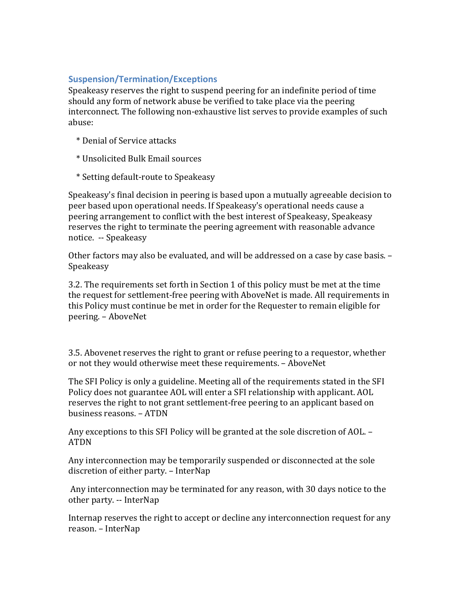# **Suspension/Termination/Exceptions**

Speakeasy reserves the right to suspend peering for an indefinite period of time should any form of network abuse be verified to take place via the peering interconnect. The following non-exhaustive list serves to provide examples of such abuse:

- \* Denial of Service attacks
- \* Unsolicited Bulk Email sources
- \* Setting default-route to Speakeasy

Speakeasy's final decision in peering is based upon a mutually agreeable decision to peer based upon operational needs. If Speakeasy's operational needs cause a peering arrangement to conflict with the best interest of Speakeasy, Speakeasy reserves the right to terminate the peering agreement with reasonable advance notice. -- Speakeasy

Other factors may also be evaluated, and will be addressed on a case by case basis. – Speakeasy

3.2. The requirements set forth in Section 1 of this policy must be met at the time the request for settlement-free peering with AboveNet is made. All requirements in this Policy must continue be met in order for the Requester to remain eligible for peering. – AboveNet

3.5. Abovenet reserves the right to grant or refuse peering to a requestor, whether or not they would otherwise meet these requirements. - AboveNet

The SFI Policy is only a guideline. Meeting all of the requirements stated in the SFI Policy does not guarantee AOL will enter a SFI relationship with applicant. AOL reserves the right to not grant settlement-free peering to an applicant based on business reasons. – ATDN

Any exceptions to this SFI Policy will be granted at the sole discretion of AOL. -ATDN

Any interconnection may be temporarily suspended or disconnected at the sole discretion of either party. – InterNap

Any interconnection may be terminated for any reason, with 30 days notice to the other party. -- InterNap

Internap reserves the right to accept or decline any interconnection request for any reason. - InterNap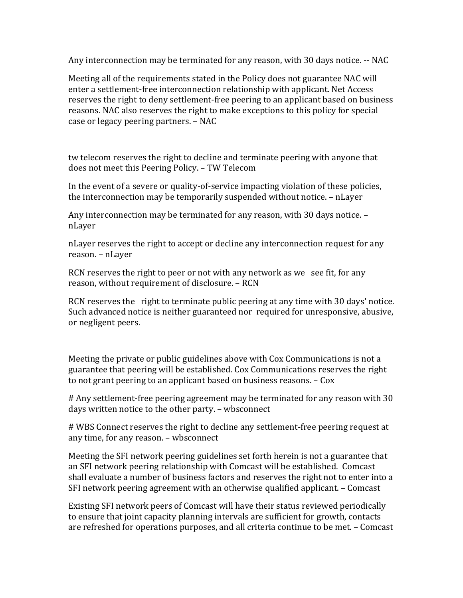Any interconnection may be terminated for any reason, with 30 days notice. -- NAC

Meeting all of the requirements stated in the Policy does not guarantee NAC will enter a settlement-free interconnection relationship with applicant. Net Access reserves the right to deny settlement-free peering to an applicant based on business reasons. NAC also reserves the right to make exceptions to this policy for special case or legacy peering partners. – NAC

tw telecom reserves the right to decline and terminate peering with anyone that does not meet this Peering Policy. - TW Telecom

In the event of a severe or quality-of-service impacting violation of these policies, the interconnection may be temporarily suspended without notice.  $-$  nLayer

Any interconnection may be terminated for any reason, with 30 days notice. – nLayer

nLayer reserves the right to accept or decline any interconnection request for any reason. – nLayer

RCN reserves the right to peer or not with any network as we see fit, for any reason, without requirement of disclosure. - RCN

RCN reserves the right to terminate public peering at any time with 30 days' notice. Such advanced notice is neither guaranteed nor required for unresponsive, abusive, or negligent peers.

Meeting the private or public guidelines above with Cox Communications is not a guarantee that peering will be established. Cox Communications reserves the right to not grant peering to an applicant based on business reasons.  $-$  Cox

# Any settlement-free peering agreement may be terminated for any reason with 30 days written notice to the other party. - wbsconnect

# WBS Connect reserves the right to decline any settlement-free peering request at any time, for any reason. – wbsconnect

Meeting the SFI network peering guidelines set forth herein is not a guarantee that an SFI network peering relationship with Comcast will be established. Comcast shall evaluate a number of business factors and reserves the right not to enter into a SFI network peering agreement with an otherwise qualified applicant. – Comcast

Existing SFI network peers of Comcast will have their status reviewed periodically to ensure that joint capacity planning intervals are sufficient for growth, contacts are refreshed for operations purposes, and all criteria continue to be met. - Comcast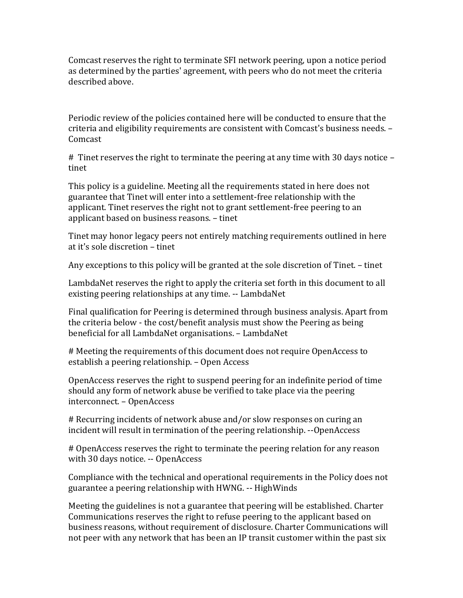Comcast reserves the right to terminate SFI network peering, upon a notice period as determined by the parties' agreement, with peers who do not meet the criteria described above.

Periodic review of the policies contained here will be conducted to ensure that the criteria and eligibility requirements are consistent with Comcast's business needs. -Comcast

# Tinet reserves the right to terminate the peering at any time with 30 days notice – tinet

This policy is a guideline. Meeting all the requirements stated in here does not guarantee that Tinet will enter into a settlement-free relationship with the applicant. Tinet reserves the right not to grant settlement-free peering to an applicant based on business reasons. – tinet

Tinet may honor legacy peers not entirely matching requirements outlined in here at it's sole discretion – tinet

Any exceptions to this policy will be granted at the sole discretion of Tinet. – tinet

LambdaNet reserves the right to apply the criteria set forth in this document to all existing peering relationships at any time. -- LambdaNet

Final qualification for Peering is determined through business analysis. Apart from the criteria below - the cost/benefit analysis must show the Peering as being beneficial for all LambdaNet organisations. - LambdaNet

# Meeting the requirements of this document does not require OpenAccess to establish a peering relationship. – Open Access

OpenAccess reserves the right to suspend peering for an indefinite period of time should any form of network abuse be verified to take place via the peering interconnect. – OpenAccess

# Recurring incidents of network abuse and/or slow responses on curing an incident will result in termination of the peering relationship. --OpenAccess

# OpenAccess reserves the right to terminate the peering relation for any reason with 30 days notice. -- OpenAccess

Compliance with the technical and operational requirements in the Policy does not guarantee a peering relationship with HWNG. -- HighWinds

Meeting the guidelines is not a guarantee that peering will be established. Charter Communications reserves the right to refuse peering to the applicant based on business reasons, without requirement of disclosure. Charter Communications will not peer with any network that has been an IP transit customer within the past six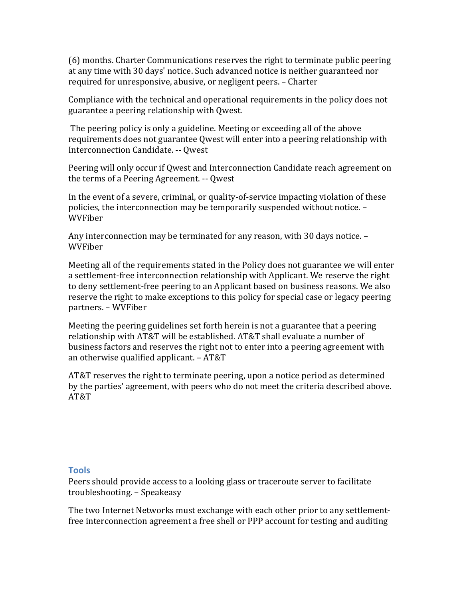(6) months. Charter Communications reserves the right to terminate public peering at any time with 30 days' notice. Such advanced notice is neither guaranteed nor required for unresponsive, abusive, or negligent peers. - Charter

Compliance with the technical and operational requirements in the policy does not guarantee a peering relationship with Qwest.

The peering policy is only a guideline. Meeting or exceeding all of the above requirements does not guarantee Qwest will enter into a peering relationship with Interconnection Candidate. -- Qwest

Peering will only occur if Qwest and Interconnection Candidate reach agreement on the terms of a Peering Agreement. -- Qwest

In the event of a severe, criminal, or quality-of-service impacting violation of these policies, the interconnection may be temporarily suspended without notice. -WVFiber

Any interconnection may be terminated for any reason, with 30 days notice. -WVFiber

Meeting all of the requirements stated in the Policy does not guarantee we will enter a settlement-free interconnection relationship with Applicant. We reserve the right to deny settlement-free peering to an Applicant based on business reasons. We also reserve the right to make exceptions to this policy for special case or legacy peering partners. – WVFiber

Meeting the peering guidelines set forth herein is not a guarantee that a peering relationship with AT&T will be established. AT&T shall evaluate a number of business factors and reserves the right not to enter into a peering agreement with an otherwise qualified applicant.  $- AT&T$ 

AT&T reserves the right to terminate peering, upon a notice period as determined by the parties' agreement, with peers who do not meet the criteria described above. AT&T

#### **Tools**

Peers should provide access to a looking glass or traceroute server to facilitate troubleshooting. – Speakeasy

The two Internet Networks must exchange with each other prior to any settlementfree interconnection agreement a free shell or PPP account for testing and auditing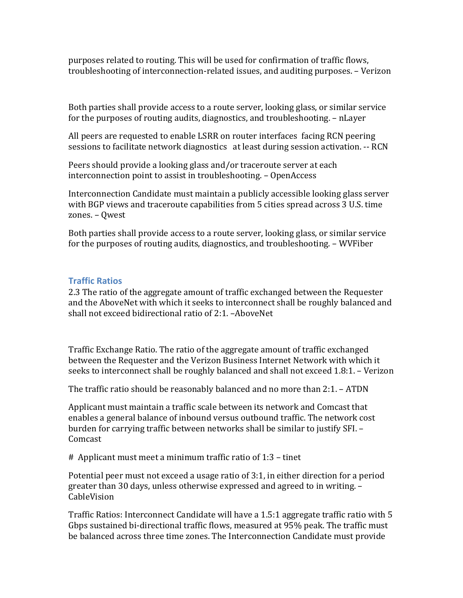purposes related to routing. This will be used for confirmation of traffic flows, troubleshooting of interconnection-related issues, and auditing purposes. - Verizon

Both parties shall provide access to a route server, looking glass, or similar service for the purposes of routing audits, diagnostics, and troubleshooting. – nLayer

All peers are requested to enable LSRR on router interfaces facing RCN peering sessions to facilitate network diagnostics at least during session activation. -- RCN

Peers should provide a looking glass and/or traceroute server at each interconnection point to assist in troubleshooting. - OpenAccess

Interconnection Candidate must maintain a publicly accessible looking glass server with BGP views and traceroute capabilities from 5 cities spread across 3 U.S. time zones. – Qwest

Both parties shall provide access to a route server, looking glass, or similar service for the purposes of routing audits, diagnostics, and troubleshooting. – WVFiber

# **Traffic Ratios**

2.3 The ratio of the aggregate amount of traffic exchanged between the Requester and the AboveNet with which it seeks to interconnect shall be roughly balanced and shall not exceed bidirectional ratio of  $2:1$ . –AboveNet

Traffic Exchange Ratio. The ratio of the aggregate amount of traffic exchanged between the Requester and the Verizon Business Internet Network with which it seeks to interconnect shall be roughly balanced and shall not exceed 1.8:1. – Verizon

The traffic ratio should be reasonably balanced and no more than  $2:1. -$  ATDN

Applicant must maintain a traffic scale between its network and Comcast that enables a general balance of inbound versus outbound traffic. The network cost burden for carrying traffic between networks shall be similar to justify SFI. -Comcast

 $#$  Applicant must meet a minimum traffic ratio of 1:3 – tinet

Potential peer must not exceed a usage ratio of  $3:1$ , in either direction for a period greater than 30 days, unless otherwise expressed and agreed to in writing. -CableVision

Traffic Ratios: Interconnect Candidate will have a 1.5:1 aggregate traffic ratio with 5 Gbps sustained bi-directional traffic flows, measured at 95% peak. The traffic must be balanced across three time zones. The Interconnection Candidate must provide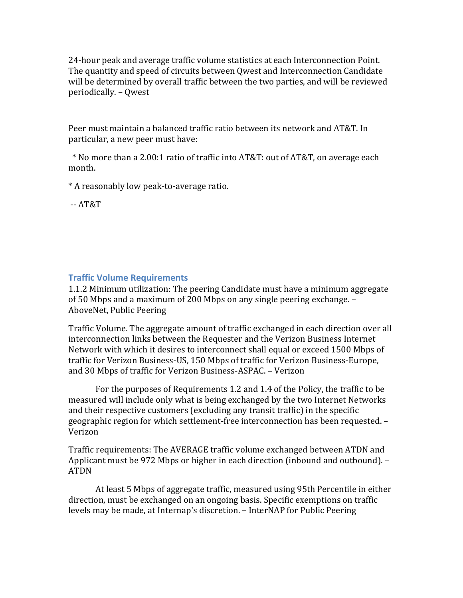24-hour peak and average traffic volume statistics at each Interconnection Point. The quantity and speed of circuits between Qwest and Interconnection Candidate will be determined by overall traffic between the two parties, and will be reviewed periodically. – Qwest

Peer must maintain a balanced traffic ratio between its network and AT&T. In particular, a new peer must have:

 \* No more than a 2.00:1 ratio of traffic into AT&T: out of AT&T, on average each month. 

\* A reasonably low peak-to-average ratio.

-- AT&T

### **Traffic Volume Requirements**

1.1.2 Minimum utilization: The peering Candidate must have a minimum aggregate of 50 Mbps and a maximum of 200 Mbps on any single peering exchange.  $-$ AboveNet, Public Peering

Traffic Volume. The aggregate amount of traffic exchanged in each direction over all interconnection links between the Requester and the Verizon Business Internet Network with which it desires to interconnect shall equal or exceed 1500 Mbps of traffic for Verizon Business-US, 150 Mbps of traffic for Verizon Business-Europe, and 30 Mbps of traffic for Verizon Business-ASPAC. - Verizon

For the purposes of Requirements 1.2 and 1.4 of the Policy, the traffic to be measured will include only what is being exchanged by the two Internet Networks and their respective customers (excluding any transit traffic) in the specific geographic region for which settlement-free interconnection has been requested. -Verizon

Traffic requirements: The AVERAGE traffic volume exchanged between ATDN and Applicant must be 972 Mbps or higher in each direction (inbound and outbound).  $-$ ATDN

At least 5 Mbps of aggregate traffic, measured using 95th Percentile in either direction, must be exchanged on an ongoing basis. Specific exemptions on traffic levels may be made, at Internap's discretion. – InterNAP for Public Peering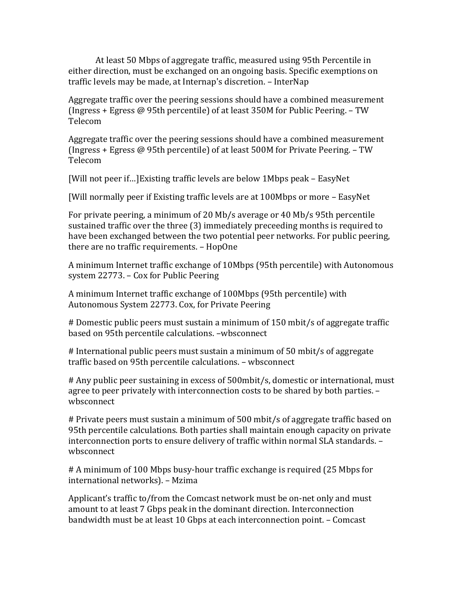At least 50 Mbps of aggregate traffic, measured using 95th Percentile in either direction, must be exchanged on an ongoing basis. Specific exemptions on traffic levels may be made, at Internap's discretion. - InterNap

Aggregate traffic over the peering sessions should have a combined measurement (Ingress + Egress  $@$  95th percentile) of at least 350M for Public Peering. – TW Telecom

Aggregate traffic over the peering sessions should have a combined measurement (Ingress + Egress  $\omega$  95th percentile) of at least 500M for Private Peering. – TW Telecom

[Will not peer if...] Existing traffic levels are below 1Mbps peak – EasyNet

[Will normally peer if Existing traffic levels are at 100Mbps or more – EasyNet

For private peering, a minimum of 20 Mb/s average or 40 Mb/s 95th percentile sustained traffic over the three (3) immediately preceeding months is required to have been exchanged between the two potential peer networks. For public peering, there are no traffic requirements. - HopOne

A minimum Internet traffic exchange of 10Mbps (95th percentile) with Autonomous system 22773. – Cox for Public Peering

A minimum Internet traffic exchange of 100Mbps (95th percentile) with Autonomous System 22773. Cox, for Private Peering

# Domestic public peers must sustain a minimum of 150 mbit/s of aggregate traffic based on 95th percentile calculations. -wbsconnect

# International public peers must sustain a minimum of 50 mbit/s of aggregate traffic based on 95th percentile calculations. - wbsconnect

# Any public peer sustaining in excess of 500mbit/s, domestic or international, must agree to peer privately with interconnection costs to be shared by both parties. wbsconnect

# Private peers must sustain a minimum of 500 mbit/s of aggregate traffic based on 95th percentile calculations. Both parties shall maintain enough capacity on private interconnection ports to ensure delivery of traffic within normal SLA standards. wbsconnect

# A minimum of 100 Mbps busy-hour traffic exchange is required (25 Mbps for international networks). - Mzima

Applicant's traffic to/from the Comcast network must be on-net only and must amount to at least 7 Gbps peak in the dominant direction. Interconnection bandwidth must be at least 10 Gbps at each interconnection point. - Comcast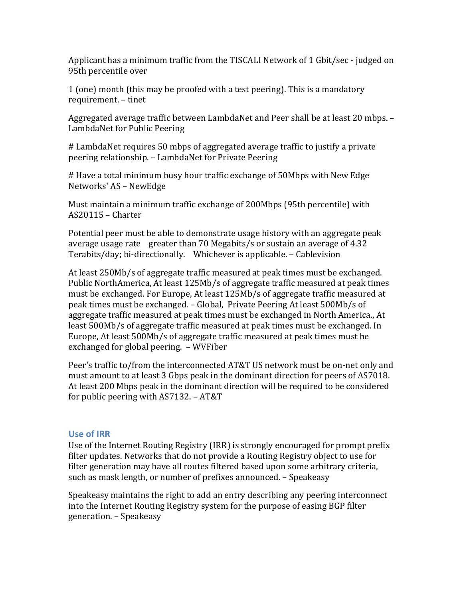Applicant has a minimum traffic from the TISCALI Network of 1 Gbit/sec - judged on 95th percentile over

1 (one) month (this may be proofed with a test peering). This is a mandatory requirement. – tinet

Aggregated average traffic between LambdaNet and Peer shall be at least 20 mbps. – LambdaNet for Public Peering

# LambdaNet requires 50 mbps of aggregated average traffic to justify a private peering relationship. – LambdaNet for Private Peering

# Have a total minimum busy hour traffic exchange of 50Mbps with New Edge Networks' AS – NewEdge

Must maintain a minimum traffic exchange of 200Mbps (95th percentile) with AS20115 – Charter

Potential peer must be able to demonstrate usage history with an aggregate peak average usage rate greater than 70 Megabits/s or sustain an average of  $4.32$ Terabits/day; bi-directionally. Whichever is applicable. – Cablevision

At least 250Mb/s of aggregate traffic measured at peak times must be exchanged. Public NorthAmerica, At least 125Mb/s of aggregate traffic measured at peak times must be exchanged. For Europe, At least 125Mb/s of aggregate traffic measured at peak times must be exchanged. – Global, Private Peering At least 500Mb/s of aggregate traffic measured at peak times must be exchanged in North America., At least 500Mb/s of aggregate traffic measured at peak times must be exchanged. In Europe, At least 500Mb/s of aggregate traffic measured at peak times must be exchanged for global peering. - WVFiber

Peer's traffic to/from the interconnected AT&T US network must be on-net only and must amount to at least 3 Gbps peak in the dominant direction for peers of AS7018. At least 200 Mbps peak in the dominant direction will be required to be considered for public peering with  $\triangle$  AS7132. – AT&T

# **Use of IRR**

Use of the Internet Routing Registry  $\text{(IRR)}$  is strongly encouraged for prompt prefix filter updates. Networks that do not provide a Routing Registry object to use for filter generation may have all routes filtered based upon some arbitrary criteria, such as mask length, or number of prefixes announced. – Speakeasy

Speakeasy maintains the right to add an entry describing any peering interconnect into the Internet Routing Registry system for the purpose of easing BGP filter generation. – Speakeasy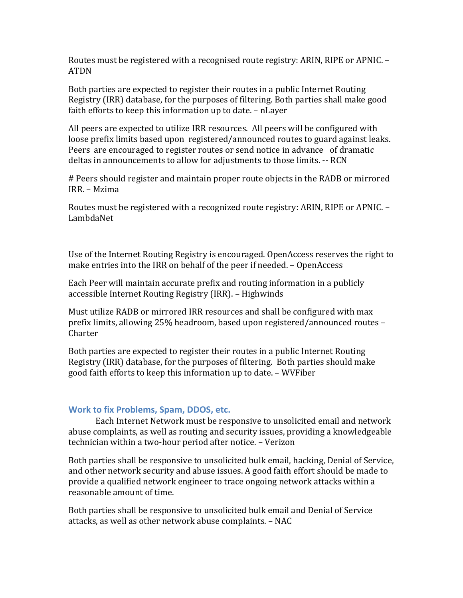Routes must be registered with a recognised route registry: ARIN, RIPE or APNIC. – ATDN

Both parties are expected to register their routes in a public Internet Routing Registry (IRR) database, for the purposes of filtering. Both parties shall make good faith efforts to keep this information up to date. - nLayer

All peers are expected to utilize IRR resources. All peers will be configured with loose prefix limits based upon registered/announced routes to guard against leaks. Peers are encouraged to register routes or send notice in advance of dramatic deltas in announcements to allow for adjustments to those limits. -- RCN

# Peers should register and maintain proper route objects in the RADB or mirrored IRR. – Mzima

Routes must be registered with a recognized route registry: ARIN, RIPE or APNIC. -LambdaNet

Use of the Internet Routing Registry is encouraged. OpenAccess reserves the right to make entries into the IRR on behalf of the peer if needed. – OpenAccess

Each Peer will maintain accurate prefix and routing information in a publicly accessible Internet Routing Registry (IRR). – Highwinds

Must utilize RADB or mirrored IRR resources and shall be configured with max prefix limits, allowing 25% headroom, based upon registered/announced routes – Charter

Both parties are expected to register their routes in a public Internet Routing Registry (IRR) database, for the purposes of filtering. Both parties should make good faith efforts to keep this information up to date. – WVFiber

#### **Work to fix Problems, Spam, DDOS, etc.**

Each Internet Network must be responsive to unsolicited email and network abuse complaints, as well as routing and security issues, providing a knowledgeable technician within a two-hour period after notice. - Verizon

Both parties shall be responsive to unsolicited bulk email, hacking, Denial of Service, and other network security and abuse issues. A good faith effort should be made to provide a qualified network engineer to trace ongoing network attacks within a reasonable amount of time.

Both parties shall be responsive to unsolicited bulk email and Denial of Service attacks, as well as other network abuse complaints. - NAC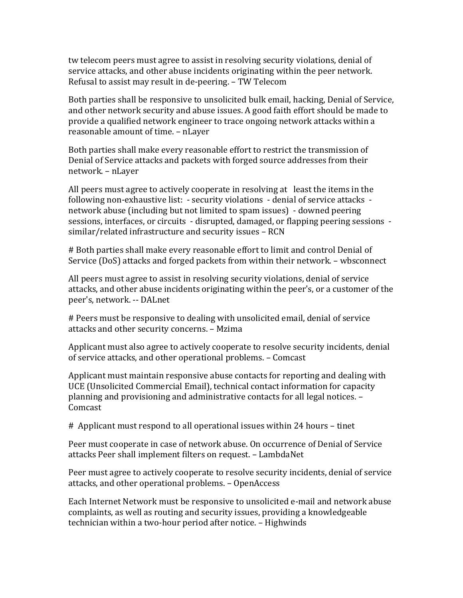tw telecom peers must agree to assist in resolving security violations, denial of service attacks, and other abuse incidents originating within the peer network. Refusal to assist may result in de-peering. – TW Telecom

Both parties shall be responsive to unsolicited bulk email, hacking, Denial of Service, and other network security and abuse issues. A good faith effort should be made to provide a qualified network engineer to trace ongoing network attacks within a reasonable amount of time. - nLayer

Both parties shall make every reasonable effort to restrict the transmission of Denial of Service attacks and packets with forged source addresses from their network. – nLayer

All peers must agree to actively cooperate in resolving at least the items in the following non-exhaustive list:  $-$  security violations  $-$  denial of service attacks  $$ network abuse (including but not limited to spam issues) - downed peering sessions, interfaces, or circuits - disrupted, damaged, or flapping peering sessions similar/related infrastructure and security issues - RCN

# Both parties shall make every reasonable effort to limit and control Denial of Service (DoS) attacks and forged packets from within their network. – wbsconnect

All peers must agree to assist in resolving security violations, denial of service attacks, and other abuse incidents originating within the peer's, or a customer of the peer's, network. -- DALnet

# Peers must be responsive to dealing with unsolicited email, denial of service attacks and other security concerns. - Mzima

Applicant must also agree to actively cooperate to resolve security incidents, denial of service attacks, and other operational problems. - Comcast

Applicant must maintain responsive abuse contacts for reporting and dealing with UCE (Unsolicited Commercial Email), technical contact information for capacity planning and provisioning and administrative contacts for all legal notices. -Comcast

# Applicant must respond to all operational issues within 24 hours – tinet

Peer must cooperate in case of network abuse. On occurrence of Denial of Service attacks Peer shall implement filters on request. - LambdaNet

Peer must agree to actively cooperate to resolve security incidents, denial of service attacks, and other operational problems. - OpenAccess

Each Internet Network must be responsive to unsolicited e-mail and network abuse complaints, as well as routing and security issues, providing a knowledgeable technician within a two-hour period after notice. - Highwinds